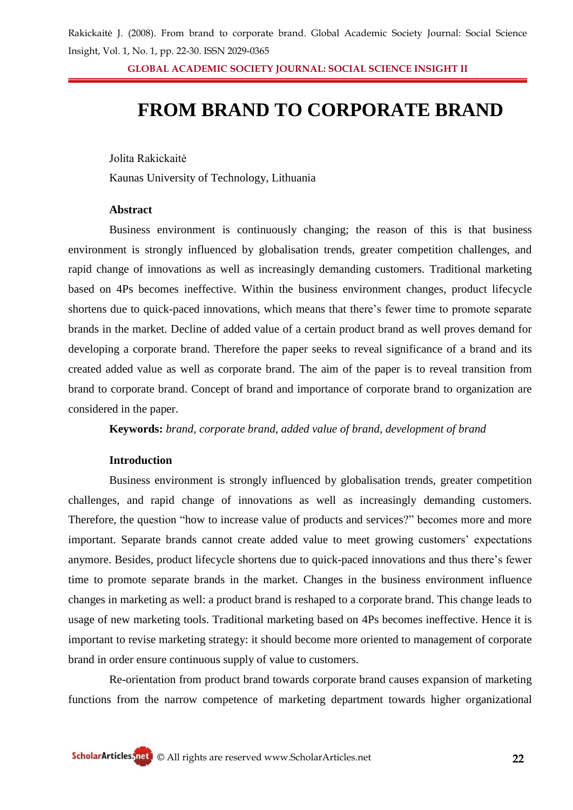**GLOBAL ACADEMIC SOCIETY JOURNAL: SOCIAL SCIENCE INSIGHT II**

# **FROM BRAND TO CORPORATE BRAND**

Jolita Rakickaitė

Kaunas University of Technology, Lithuania

#### **Abstract**

Business environment is continuously changing; the reason of this is that business environment is strongly influenced by globalisation trends, greater competition challenges, and rapid change of innovations as well as increasingly demanding customers. Traditional marketing based on 4Ps becomes ineffective. Within the business environment changes, product lifecycle shortens due to quick-paced innovations, which means that there's fewer time to promote separate brands in the market. Decline of added value of a certain product brand as well proves demand for developing a corporate brand. Therefore the paper seeks to reveal significance of a brand and its created added value as well as corporate brand. The aim of the paper is to reveal transition from brand to corporate brand. Concept of brand and importance of corporate brand to organization are considered in the paper.

**Keywords:** *brand, corporate brand, added value of brand, development of brand*

### **Introduction**

Business environment is strongly influenced by globalisation trends, greater competition challenges, and rapid change of innovations as well as increasingly demanding customers. Therefore, the question "how to increase value of products and services?" becomes more and more important. Separate brands cannot create added value to meet growing customers' expectations anymore. Besides, product lifecycle shortens due to quick-paced innovations and thus there"s fewer time to promote separate brands in the market. Changes in the business environment influence changes in marketing as well: a product brand is reshaped to a corporate brand. This change leads to usage of new marketing tools. Traditional marketing based on 4Ps becomes ineffective. Hence it is important to revise marketing strategy: it should become more oriented to management of corporate brand in order ensure continuous supply of value to customers.

Re-orientation from product brand towards corporate brand causes expansion of marketing functions from the narrow competence of marketing department towards higher organizational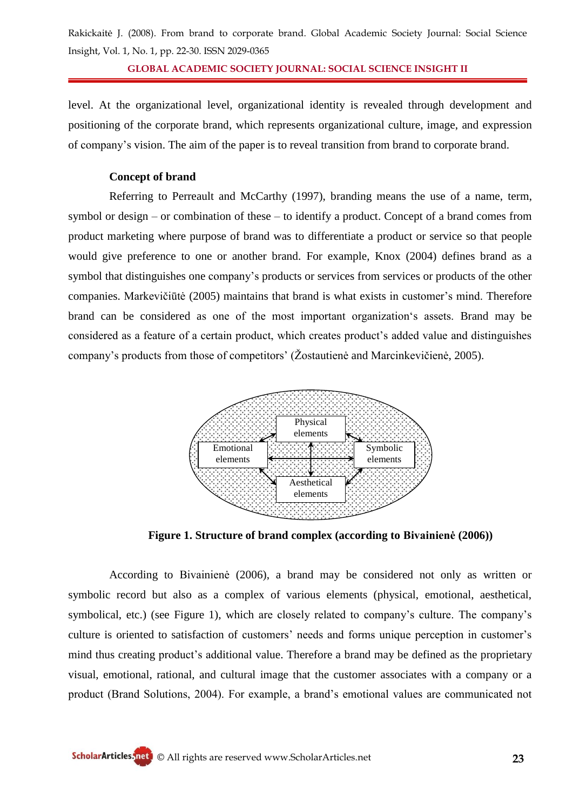**GLOBAL ACADEMIC SOCIETY JOURNAL: SOCIAL SCIENCE INSIGHT II**

level. At the organizational level, organizational identity is revealed through development and positioning of the corporate brand, which represents organizational culture, image, and expression of company"s vision. The aim of the paper is to reveal transition from brand to corporate brand.

#### **Concept of brand**

Referring to Perreault and McCarthy (1997), branding means the use of a name, term, symbol or design – or combination of these – to identify a product. Concept of a brand comes from product marketing where purpose of brand was to differentiate a product or service so that people would give preference to one or another brand. For example, Knox (2004) defines brand as a symbol that distinguishes one company"s products or services from services or products of the other companies. Markevičiūtė (2005) maintains that brand is what exists in customer"s mind. Therefore brand can be considered as one of the most important organization"s assets. Brand may be considered as a feature of a certain product, which creates product's added value and distinguishes company"s products from those of competitors" (Žostautienė and Marcinkevičienė, 2005).



**Figure 1. Structure of brand complex (according to Bivainienė (2006))**

According to Bivainienė (2006), a brand may be considered not only as written or symbolic record but also as a complex of various elements (physical, emotional, aesthetical, symbolical, etc.) (see Figure 1), which are closely related to company's culture. The company's culture is oriented to satisfaction of customers' needs and forms unique perception in customer's mind thus creating product's additional value. Therefore a brand may be defined as the proprietary visual, emotional, rational, and cultural image that the customer associates with a company or a product (Brand Solutions, 2004). For example, a brand"s emotional values are communicated not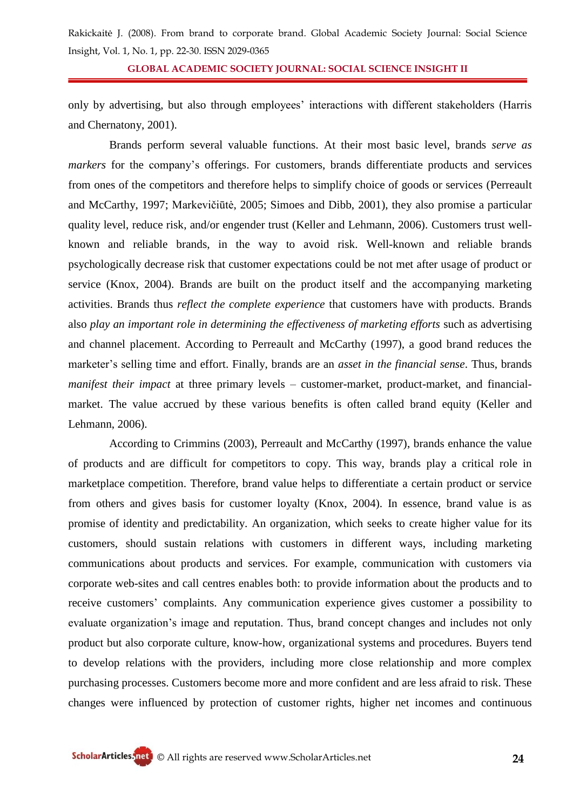**GLOBAL ACADEMIC SOCIETY JOURNAL: SOCIAL SCIENCE INSIGHT II**

only by advertising, but also through employees" interactions with different stakeholders (Harris and Chernatony, 2001).

Brands perform several valuable functions. At their most basic level, brands *serve as markers* for the company"s offerings. For customers, brands differentiate products and services from ones of the competitors and therefore helps to simplify choice of goods or services (Perreault and McCarthy, 1997; Markevičiūtė, 2005; Simoes and Dibb, 2001), they also promise a particular quality level, reduce risk, and/or engender trust (Keller and Lehmann, 2006). Customers trust wellknown and reliable brands, in the way to avoid risk. Well-known and reliable brands psychologically decrease risk that customer expectations could be not met after usage of product or service (Knox, 2004). Brands are built on the product itself and the accompanying marketing activities. Brands thus *reflect the complete experience* that customers have with products. Brands also *play an important role in determining the effectiveness of marketing efforts* such as advertising and channel placement. According to Perreault and McCarthy (1997), a good brand reduces the marketer"s selling time and effort. Finally, brands are an *asset in the financial sense*. Thus, brands *manifest their impact* at three primary levels – customer-market, product-market, and financialmarket. The value accrued by these various benefits is often called brand equity (Keller and Lehmann, 2006).

According to Crimmins (2003), Perreault and McCarthy (1997), brands enhance the value of products and are difficult for competitors to copy. This way, brands play a critical role in marketplace competition. Therefore, brand value helps to differentiate a certain product or service from others and gives basis for customer loyalty (Knox, 2004). In essence, brand value is as promise of identity and predictability. An organization, which seeks to create higher value for its customers, should sustain relations with customers in different ways, including marketing communications about products and services. For example, communication with customers via corporate web-sites and call centres enables both: to provide information about the products and to receive customers" complaints. Any communication experience gives customer a possibility to evaluate organization's image and reputation. Thus, brand concept changes and includes not only product but also corporate culture, know-how, organizational systems and procedures. Buyers tend to develop relations with the providers, including more close relationship and more complex purchasing processes. Customers become more and more confident and are less afraid to risk. These changes were influenced by protection of customer rights, higher net incomes and continuous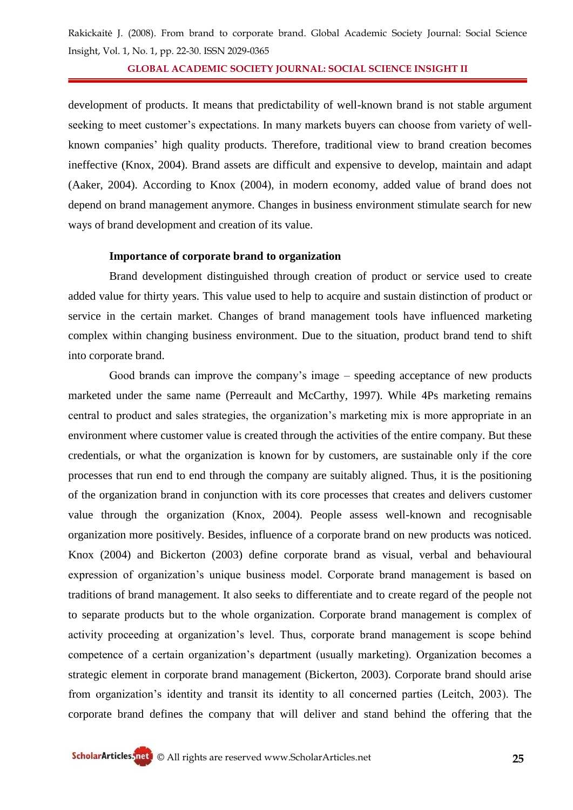**GLOBAL ACADEMIC SOCIETY JOURNAL: SOCIAL SCIENCE INSIGHT II**

development of products. It means that predictability of well-known brand is not stable argument seeking to meet customer's expectations. In many markets buyers can choose from variety of wellknown companies" high quality products. Therefore, traditional view to brand creation becomes ineffective (Knox, 2004). Brand assets are difficult and expensive to develop, maintain and adapt (Aaker, 2004). According to Knox (2004), in modern economy, added value of brand does not depend on brand management anymore. Changes in business environment stimulate search for new ways of brand development and creation of its value.

#### **Importance of corporate brand to organization**

Brand development distinguished through creation of product or service used to create added value for thirty years. This value used to help to acquire and sustain distinction of product or service in the certain market. Changes of brand management tools have influenced marketing complex within changing business environment. Due to the situation, product brand tend to shift into corporate brand.

Good brands can improve the company's image – speeding acceptance of new products marketed under the same name (Perreault and McCarthy, 1997). While 4Ps marketing remains central to product and sales strategies, the organization"s marketing mix is more appropriate in an environment where customer value is created through the activities of the entire company. But these credentials, or what the organization is known for by customers, are sustainable only if the core processes that run end to end through the company are suitably aligned. Thus, it is the positioning of the organization brand in conjunction with its core processes that creates and delivers customer value through the organization (Knox, 2004). People assess well-known and recognisable organization more positively. Besides, influence of a corporate brand on new products was noticed. Knox (2004) and Bickerton (2003) define corporate brand as visual, verbal and behavioural expression of organization"s unique business model. Corporate brand management is based on traditions of brand management. It also seeks to differentiate and to create regard of the people not to separate products but to the whole organization. Corporate brand management is complex of activity proceeding at organization"s level. Thus, corporate brand management is scope behind competence of a certain organization"s department (usually marketing). Organization becomes a strategic element in corporate brand management (Bickerton, 2003). Corporate brand should arise from organization"s identity and transit its identity to all concerned parties (Leitch, 2003). The corporate brand defines the company that will deliver and stand behind the offering that the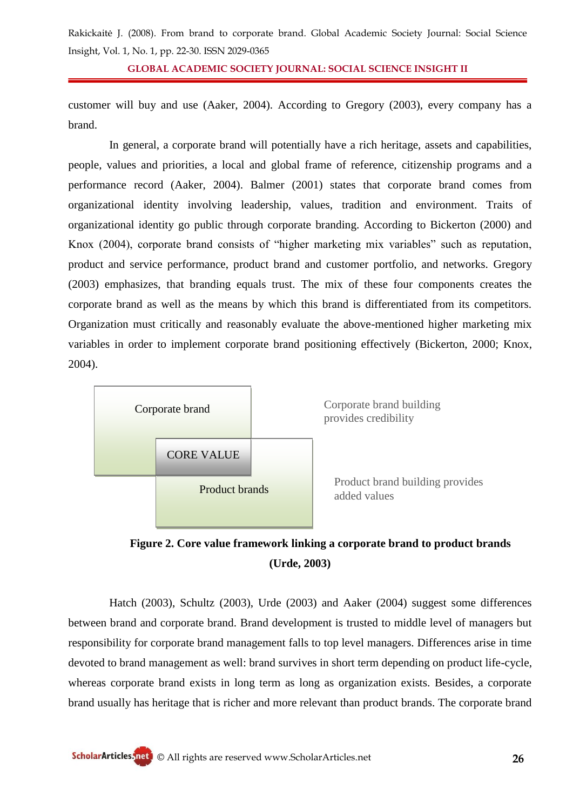**GLOBAL ACADEMIC SOCIETY JOURNAL: SOCIAL SCIENCE INSIGHT II**

customer will buy and use (Aaker, 2004). According to Gregory (2003), every company has a brand.

In general, a corporate brand will potentially have a rich heritage, assets and capabilities, people, values and priorities, a local and global frame of reference, citizenship programs and a performance record (Aaker, 2004). Balmer (2001) states that corporate brand comes from organizational identity involving leadership, values, tradition and environment. Traits of organizational identity go public through corporate branding. According to Bickerton (2000) and Knox (2004), corporate brand consists of "higher marketing mix variables" such as reputation, product and service performance, product brand and customer portfolio, and networks. Gregory (2003) emphasizes, that branding equals trust. The mix of these four components creates the corporate brand as well as the means by which this brand is differentiated from its competitors. Organization must critically and reasonably evaluate the above-mentioned higher marketing mix variables in order to implement corporate brand positioning effectively (Bickerton, 2000; Knox, 2004).



## **Figure 2. Core value framework linking a corporate brand to product brands (Urde, 2003)**

Hatch (2003), Schultz (2003), Urde (2003) and Aaker (2004) suggest some differences between brand and corporate brand. Brand development is trusted to middle level of managers but responsibility for corporate brand management falls to top level managers. Differences arise in time devoted to brand management as well: brand survives in short term depending on product life-cycle, whereas corporate brand exists in long term as long as organization exists. Besides, a corporate brand usually has heritage that is richer and more relevant than product brands. The corporate brand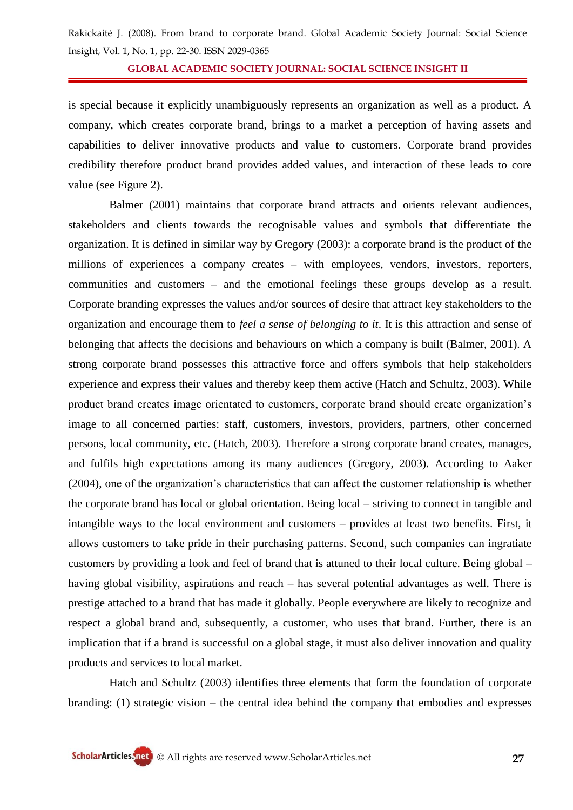**GLOBAL ACADEMIC SOCIETY JOURNAL: SOCIAL SCIENCE INSIGHT II**

is special because it explicitly unambiguously represents an organization as well as a product. A company, which creates corporate brand, brings to a market a perception of having assets and capabilities to deliver innovative products and value to customers. Corporate brand provides credibility therefore product brand provides added values, and interaction of these leads to core value (see Figure 2).

Balmer (2001) maintains that corporate brand attracts and orients relevant audiences, stakeholders and clients towards the recognisable values and symbols that differentiate the organization. It is defined in similar way by Gregory (2003): a corporate brand is the product of the millions of experiences a company creates – with employees, vendors, investors, reporters, communities and customers – and the emotional feelings these groups develop as a result. Corporate branding expresses the values and/or sources of desire that attract key stakeholders to the organization and encourage them to *feel a sense of belonging to it*. It is this attraction and sense of belonging that affects the decisions and behaviours on which a company is built (Balmer, 2001). A strong corporate brand possesses this attractive force and offers symbols that help stakeholders experience and express their values and thereby keep them active (Hatch and Schultz, 2003). While product brand creates image orientated to customers, corporate brand should create organization"s image to all concerned parties: staff, customers, investors, providers, partners, other concerned persons, local community, etc. (Hatch, 2003). Therefore a strong corporate brand creates, manages, and fulfils high expectations among its many audiences (Gregory, 2003). According to Aaker (2004), one of the organization"s characteristics that can affect the customer relationship is whether the corporate brand has local or global orientation. Being local – striving to connect in tangible and intangible ways to the local environment and customers – provides at least two benefits. First, it allows customers to take pride in their purchasing patterns. Second, such companies can ingratiate customers by providing a look and feel of brand that is attuned to their local culture. Being global – having global visibility, aspirations and reach – has several potential advantages as well. There is prestige attached to a brand that has made it globally. People everywhere are likely to recognize and respect a global brand and, subsequently, a customer, who uses that brand. Further, there is an implication that if a brand is successful on a global stage, it must also deliver innovation and quality products and services to local market.

Hatch and Schultz (2003) identifies three elements that form the foundation of corporate branding: (1) strategic vision – the central idea behind the company that embodies and expresses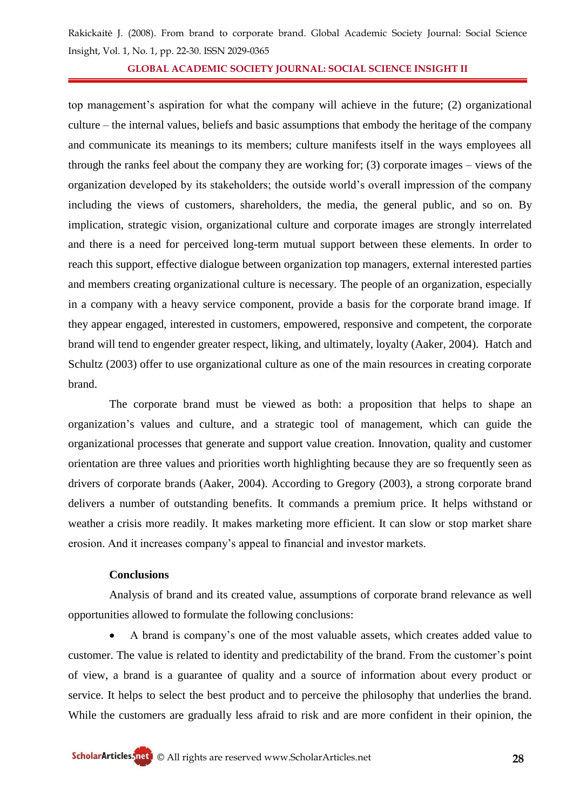**GLOBAL ACADEMIC SOCIETY JOURNAL: SOCIAL SCIENCE INSIGHT II**

top management"s aspiration for what the company will achieve in the future; (2) organizational culture – the internal values, beliefs and basic assumptions that embody the heritage of the company and communicate its meanings to its members; culture manifests itself in the ways employees all through the ranks feel about the company they are working for; (3) corporate images – views of the organization developed by its stakeholders; the outside world"s overall impression of the company including the views of customers, shareholders, the media, the general public, and so on. By implication, strategic vision, organizational culture and corporate images are strongly interrelated and there is a need for perceived long-term mutual support between these elements. In order to reach this support, effective dialogue between organization top managers, external interested parties and members creating organizational culture is necessary. The people of an organization, especially in a company with a heavy service component, provide a basis for the corporate brand image. If they appear engaged, interested in customers, empowered, responsive and competent, the corporate brand will tend to engender greater respect, liking, and ultimately, loyalty (Aaker, 2004). Hatch and Schultz (2003) offer to use organizational culture as one of the main resources in creating corporate brand.

The corporate brand must be viewed as both: a proposition that helps to shape an organization"s values and culture, and a strategic tool of management, which can guide the organizational processes that generate and support value creation. Innovation, quality and customer orientation are three values and priorities worth highlighting because they are so frequently seen as drivers of corporate brands (Aaker, 2004). According to Gregory (2003), a strong corporate brand delivers a number of outstanding benefits. It commands a premium price. It helps withstand or weather a crisis more readily. It makes marketing more efficient. It can slow or stop market share erosion. And it increases company"s appeal to financial and investor markets.

### **Conclusions**

Analysis of brand and its created value, assumptions of corporate brand relevance as well opportunities allowed to formulate the following conclusions:

 A brand is company"s one of the most valuable assets, which creates added value to customer. The value is related to identity and predictability of the brand. From the customer"s point of view, a brand is a guarantee of quality and a source of information about every product or service. It helps to select the best product and to perceive the philosophy that underlies the brand. While the customers are gradually less afraid to risk and are more confident in their opinion, the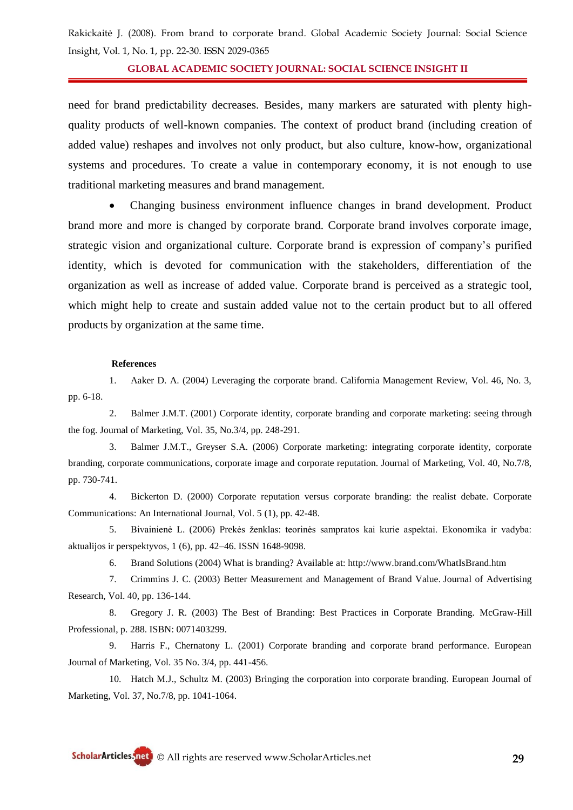**GLOBAL ACADEMIC SOCIETY JOURNAL: SOCIAL SCIENCE INSIGHT II**

need for brand predictability decreases. Besides, many markers are saturated with plenty highquality products of well-known companies. The context of product brand (including creation of added value) reshapes and involves not only product, but also culture, know-how, organizational systems and procedures. To create a value in contemporary economy, it is not enough to use traditional marketing measures and brand management.

 Changing business environment influence changes in brand development. Product brand more and more is changed by corporate brand. Corporate brand involves corporate image, strategic vision and organizational culture. Corporate brand is expression of company"s purified identity, which is devoted for communication with the stakeholders, differentiation of the organization as well as increase of added value. Corporate brand is perceived as a strategic tool, which might help to create and sustain added value not to the certain product but to all offered products by organization at the same time.

#### **References**

1. Aaker D. A. (2004) Leveraging the corporate brand. California Management Review, Vol. 46, No. 3, pp. 6-18.

2. Balmer J.M.T. (2001) Corporate identity, corporate branding and corporate marketing: seeing through the fog. Journal of Marketing, Vol. 35, No.3/4, pp. 248-291.

3. Balmer J.M.T., Greyser S.A. (2006) Corporate marketing: integrating corporate identity, corporate branding, corporate communications, corporate image and corporate reputation. Journal of Marketing, Vol. 40, No.7/8, pp. 730-741.

4. Bickerton D. (2000) Corporate reputation versus corporate branding: the realist debate. Corporate Communications: An International Journal, Vol. 5 (1), pp. 42-48.

5. Bivainienė L. (2006) Prekės ženklas: teorinės sampratos kai kurie aspektai. Ekonomika ir vadyba: aktualijos ir perspektyvos, 1 (6), pp. 42–46. ISSN 1648-9098.

6. Brand Solutions (2004) What is branding? Available at: http://www.brand.com/WhatIsBrand.htm

7. Crimmins J. C. (2003) Better Measurement and Management of Brand Value. [Journal of Advertising](http://journals.cambridge.org/action/displayAbstract?fromPage=online&aid=162741##)  [Research,](http://journals.cambridge.org/action/displayAbstract?fromPage=online&aid=162741##) Vol. 40, pp. 136-144.

8. Gregory J. R. (2003) The Best of Branding: Best Practices in Corporate Branding. [McGraw-Hill](http://books.google.com/books?q=inpublisher:%22McGraw-Hill+Professional%22&lr=&source=gbs_summary_r&cad=0)  [Professional,](http://books.google.com/books?q=inpublisher:%22McGraw-Hill+Professional%22&lr=&source=gbs_summary_r&cad=0) p. 288. ISBN: 0071403299.

9. Harris F., Chernatony L. (2001) Corporate branding and corporate brand performance. European Journal of Marketing, Vol. 35 No. 3/4, pp. 441-456.

10. Hatch M.J., Schultz M. (2003) Bringing the corporation into corporate branding. European Journal of Marketing, Vol. 37, No.7/8, pp. 1041-1064.